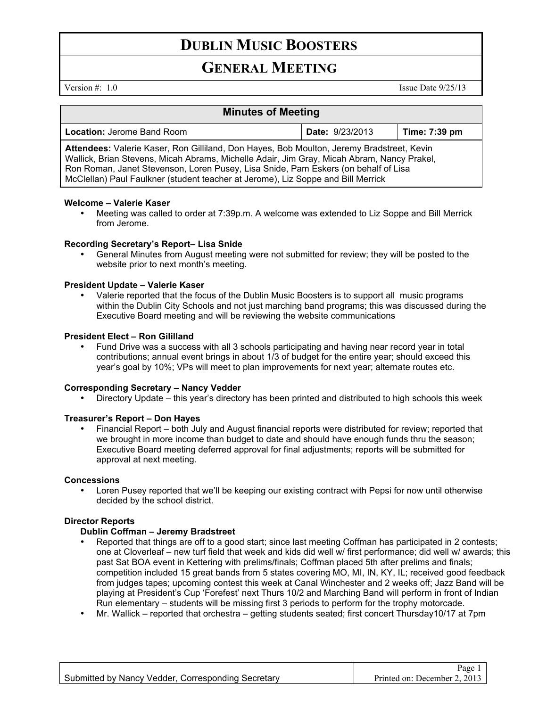# **DUBLIN MUSIC BOOSTERS**

# **GENERAL MEETING**

Version #: 1.0 Issue Date 9/25/13

## **Minutes of Meeting**

| <b>Location: Jerome Band Room</b>                                                                                                                                                                                                                                                                                                                                 | <b>Date: 9/23/2013</b> | Time: $7:39$ pm |
|-------------------------------------------------------------------------------------------------------------------------------------------------------------------------------------------------------------------------------------------------------------------------------------------------------------------------------------------------------------------|------------------------|-----------------|
| Attendees: Valerie Kaser, Ron Gilliland, Don Hayes, Bob Moulton, Jeremy Bradstreet, Kevin<br>Wallick, Brian Stevens, Micah Abrams, Michelle Adair, Jim Gray, Micah Abram, Nancy Prakel,<br>Ron Roman, Janet Stevenson, Loren Pusey, Lisa Snide, Pam Eskers (on behalf of Lisa<br>McClellan) Paul Faulkner (student teacher at Jerome), Liz Soppe and Bill Merrick |                        |                 |

#### **Welcome – Valerie Kaser**

• Meeting was called to order at 7:39p.m. A welcome was extended to Liz Soppe and Bill Merrick from Jerome.

#### **Recording Secretary's Report– Lisa Snide**

• General Minutes from August meeting were not submitted for review; they will be posted to the website prior to next month's meeting.

#### **President Update – Valerie Kaser**

• Valerie reported that the focus of the Dublin Music Boosters is to support all music programs within the Dublin City Schools and not just marching band programs; this was discussed during the Executive Board meeting and will be reviewing the website communications

#### **President Elect – Ron Gililland**

• Fund Drive was a success with all 3 schools participating and having near record year in total contributions; annual event brings in about 1/3 of budget for the entire year; should exceed this year's goal by 10%; VPs will meet to plan improvements for next year; alternate routes etc.

## **Corresponding Secretary – Nancy Vedder**

• Directory Update – this year's directory has been printed and distributed to high schools this week

#### **Treasurer's Report – Don Hayes**

• Financial Report – both July and August financial reports were distributed for review; reported that we brought in more income than budget to date and should have enough funds thru the season; Executive Board meeting deferred approval for final adjustments; reports will be submitted for approval at next meeting.

#### **Concessions**

• Loren Pusey reported that we'll be keeping our existing contract with Pepsi for now until otherwise decided by the school district.

#### **Director Reports**

### **Dublin Coffman – Jeremy Bradstreet**

- Reported that things are off to a good start; since last meeting Coffman has participated in 2 contests; one at Cloverleaf – new turf field that week and kids did well w/ first performance; did well w/ awards; this past Sat BOA event in Kettering with prelims/finals; Coffman placed 5th after prelims and finals; competition included 15 great bands from 5 states covering MO, MI, IN, KY, IL; received good feedback from judges tapes; upcoming contest this week at Canal Winchester and 2 weeks off; Jazz Band will be playing at President's Cup 'Forefest' next Thurs 10/2 and Marching Band will perform in front of Indian Run elementary – students will be missing first 3 periods to perform for the trophy motorcade.
- Mr. Wallick reported that orchestra getting students seated; first concert Thursday10/17 at 7pm